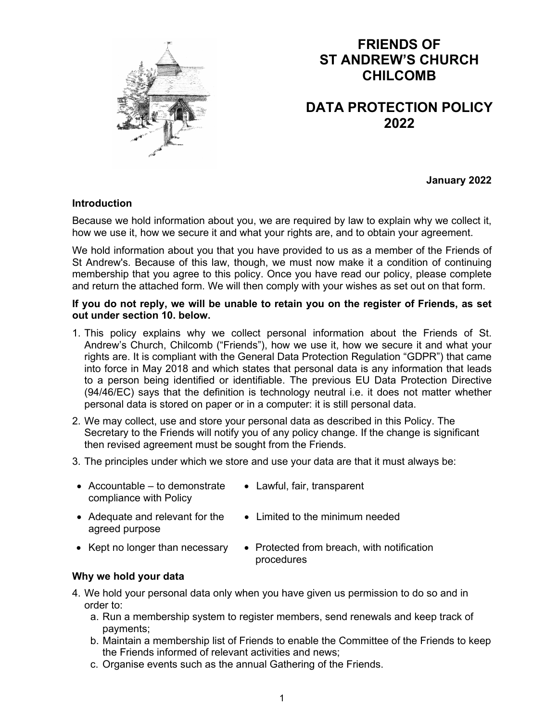

# **FRIENDS OF ST ANDREW'S CHURCH CHILCOMB**

## **DATA PROTECTION POLICY 2022**

**January 2022** 

#### **Introduction**

Because we hold information about you, we are required by law to explain why we collect it, how we use it, how we secure it and what your rights are, and to obtain your agreement.

We hold information about you that you have provided to us as a member of the Friends of St Andrew's. Because of this law, though, we must now make it a condition of continuing membership that you agree to this policy. Once you have read our policy, please complete and return the attached form. We will then comply with your wishes as set out on that form.

#### **If you do not reply, we will be unable to retain you on the register of Friends, as set out under section 10. below.**

- 1. This policy explains why we collect personal information about the Friends of St. Andrew's Church, Chilcomb ("Friends"), how we use it, how we secure it and what your rights are. It is compliant with the General Data Protection Regulation "GDPR") that came into force in May 2018 and which states that personal data is any information that leads to a person being identified or identifiable. The previous EU Data Protection Directive (94/46/EC) says that the definition is technology neutral i.e. it does not matter whether personal data is stored on paper or in a computer: it is still personal data.
- 2. We may collect, use and store your personal data as described in this Policy. The Secretary to the Friends will notify you of any policy change. If the change is significant then revised agreement must be sought from the Friends.
- 3. The principles under which we store and use your data are that it must always be:
- $\bullet$  Accountable to demonstrate compliance with Policy
	- Lawful, fair, transparent
- Adequate and relevant for the agreed purpose
- Limited to the minimum needed
- 
- Kept no longer than necessary  $\cdot$  Protected from breach, with notification procedures

#### **Why we hold your data**

- 4. We hold your personal data only when you have given us permission to do so and in order to:
	- a. Run a membership system to register members, send renewals and keep track of payments;
	- b. Maintain a membership list of Friends to enable the Committee of the Friends to keep the Friends informed of relevant activities and news;
	- c. Organise events such as the annual Gathering of the Friends.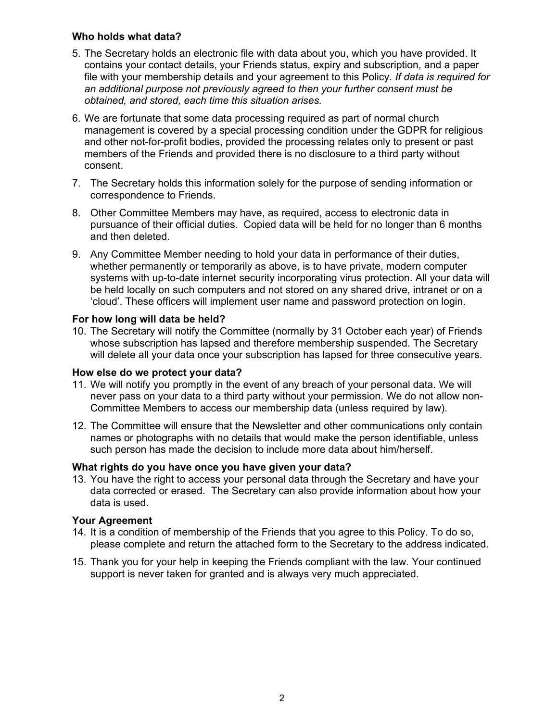#### **Who holds what data?**

- 5. The Secretary holds an electronic file with data about you, which you have provided. It contains your contact details, your Friends status, expiry and subscription, and a paper file with your membership details and your agreement to this Policy*. If data is required for an additional purpose not previously agreed to then your further consent must be obtained, and stored, each time this situation arises.*
- 6. We are fortunate that some data processing required as part of normal church management is covered by a special processing condition under the GDPR for religious and other not-for-profit bodies, provided the processing relates only to present or past members of the Friends and provided there is no disclosure to a third party without consent.
- 7. The Secretary holds this information solely for the purpose of sending information or correspondence to Friends.
- 8. Other Committee Members may have, as required, access to electronic data in pursuance of their official duties. Copied data will be held for no longer than 6 months and then deleted.
- 9. Any Committee Member needing to hold your data in performance of their duties, whether permanently or temporarily as above, is to have private, modern computer systems with up-to-date internet security incorporating virus protection. All your data will be held locally on such computers and not stored on any shared drive, intranet or on a 'cloud'. These officers will implement user name and password protection on login.

#### **For how long will data be held?**

10. The Secretary will notify the Committee (normally by 31 October each year) of Friends whose subscription has lapsed and therefore membership suspended. The Secretary will delete all your data once your subscription has lapsed for three consecutive years.

#### **How else do we protect your data?**

- 11. We will notify you promptly in the event of any breach of your personal data. We will never pass on your data to a third party without your permission. We do not allow non-Committee Members to access our membership data (unless required by law).
- 12. The Committee will ensure that the Newsletter and other communications only contain names or photographs with no details that would make the person identifiable, unless such person has made the decision to include more data about him/herself.

### **What rights do you have once you have given your data?**

13. You have the right to access your personal data through the Secretary and have your data corrected or erased. The Secretary can also provide information about how your data is used.

#### **Your Agreement**

- 14. It is a condition of membership of the Friends that you agree to this Policy. To do so, please complete and return the attached form to the Secretary to the address indicated.
- 15. Thank you for your help in keeping the Friends compliant with the law. Your continued support is never taken for granted and is always very much appreciated.